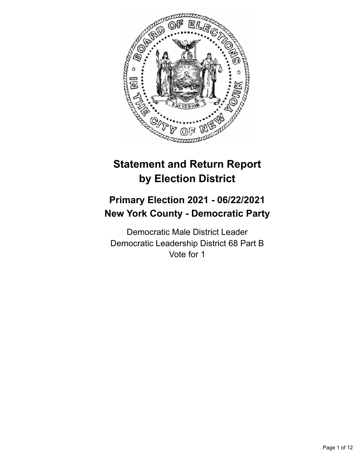

# **Statement and Return Report by Election District**

## **Primary Election 2021 - 06/22/2021 New York County - Democratic Party**

Democratic Male District Leader Democratic Leadership District 68 Part B Vote for 1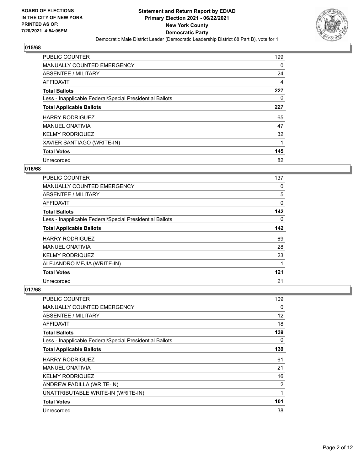

| <b>PUBLIC COUNTER</b>                                    | 199      |
|----------------------------------------------------------|----------|
| <b>MANUALLY COUNTED EMERGENCY</b>                        | $\Omega$ |
| ABSENTEE / MILITARY                                      | 24       |
| <b>AFFIDAVIT</b>                                         | 4        |
| <b>Total Ballots</b>                                     | 227      |
| Less - Inapplicable Federal/Special Presidential Ballots | 0        |
| <b>Total Applicable Ballots</b>                          | 227      |
| <b>HARRY RODRIGUEZ</b>                                   | 65       |
| <b>MANUEL ONATIVIA</b>                                   | 47       |
| <b>KELMY RODRIQUEZ</b>                                   | 32       |
| XAVIER SANTIAGO (WRITE-IN)                               |          |
| <b>Total Votes</b>                                       | 145      |
| Unrecorded                                               | 82       |

## **016/68**

| PUBLIC COUNTER                                           | 137 |
|----------------------------------------------------------|-----|
| <b>MANUALLY COUNTED EMERGENCY</b>                        | 0   |
| <b>ABSENTEE / MILITARY</b>                               | 5   |
| <b>AFFIDAVIT</b>                                         | 0   |
| <b>Total Ballots</b>                                     | 142 |
| Less - Inapplicable Federal/Special Presidential Ballots | 0   |
| <b>Total Applicable Ballots</b>                          | 142 |
| <b>HARRY RODRIGUEZ</b>                                   | 69  |
| <b>MANUEL ONATIVIA</b>                                   | 28  |
| <b>KELMY RODRIQUEZ</b>                                   | 23  |
| ALEJANDRO MEJIA (WRITE-IN)                               | 1   |
| <b>Total Votes</b>                                       | 121 |
| Unrecorded                                               | 21  |

| PUBLIC COUNTER                                           | 109 |
|----------------------------------------------------------|-----|
| <b>MANUALLY COUNTED EMERGENCY</b>                        | 0   |
| ABSENTEE / MILITARY                                      | 12  |
| AFFIDAVIT                                                | 18  |
| <b>Total Ballots</b>                                     | 139 |
| Less - Inapplicable Federal/Special Presidential Ballots | 0   |
| <b>Total Applicable Ballots</b>                          | 139 |
| <b>HARRY RODRIGUEZ</b>                                   | 61  |
| <b>MANUEL ONATIVIA</b>                                   | 21  |
| <b>KELMY RODRIQUEZ</b>                                   | 16  |
| ANDREW PADILLA (WRITE-IN)                                | 2   |
| UNATTRIBUTABLE WRITE-IN (WRITE-IN)                       | 1   |
| <b>Total Votes</b>                                       | 101 |
| Unrecorded                                               | 38  |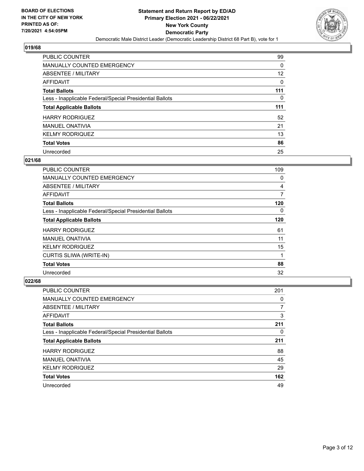

| <b>PUBLIC COUNTER</b>                                    | 99  |
|----------------------------------------------------------|-----|
| <b>MANUALLY COUNTED EMERGENCY</b>                        | 0   |
| ABSENTEE / MILITARY                                      | 12  |
| AFFIDAVIT                                                | 0   |
| <b>Total Ballots</b>                                     | 111 |
| Less - Inapplicable Federal/Special Presidential Ballots | 0   |
|                                                          |     |
| <b>Total Applicable Ballots</b>                          | 111 |
| <b>HARRY RODRIGUEZ</b>                                   | 52  |
| <b>MANUEL ONATIVIA</b>                                   | 21  |
| <b>KELMY RODRIQUEZ</b>                                   | 13  |
| <b>Total Votes</b>                                       | 86  |

#### **021/68**

| PUBLIC COUNTER                                           | 109      |
|----------------------------------------------------------|----------|
| <b>MANUALLY COUNTED EMERGENCY</b>                        | 0        |
| ABSENTEE / MILITARY                                      | 4        |
| <b>AFFIDAVIT</b>                                         | 7        |
| <b>Total Ballots</b>                                     | 120      |
| Less - Inapplicable Federal/Special Presidential Ballots | $\Omega$ |
| <b>Total Applicable Ballots</b>                          | 120      |
| <b>HARRY RODRIGUEZ</b>                                   | 61       |
| <b>MANUEL ONATIVIA</b>                                   | 11       |
| <b>KELMY RODRIQUEZ</b>                                   | 15       |
| <b>CURTIS SLIWA (WRITE-IN)</b>                           | 1        |
| <b>Total Votes</b>                                       | 88       |
| Unrecorded                                               | 32       |

| <b>PUBLIC COUNTER</b>                                    | 201 |
|----------------------------------------------------------|-----|
| <b>MANUALLY COUNTED EMERGENCY</b>                        | 0   |
| ABSENTEE / MILITARY                                      | 7   |
| AFFIDAVIT                                                | 3   |
| <b>Total Ballots</b>                                     | 211 |
| Less - Inapplicable Federal/Special Presidential Ballots | 0   |
| <b>Total Applicable Ballots</b>                          | 211 |
| <b>HARRY RODRIGUEZ</b>                                   | 88  |
| <b>MANUEL ONATIVIA</b>                                   | 45  |
| <b>KELMY RODRIQUEZ</b>                                   | 29  |
| <b>Total Votes</b>                                       | 162 |
| Unrecorded                                               | 49  |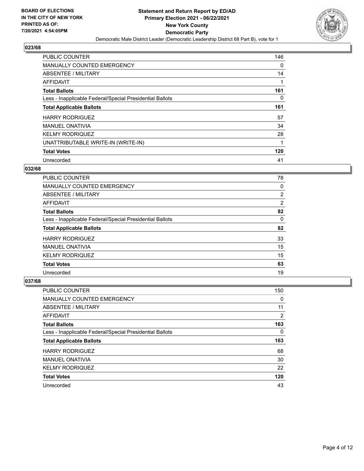

| PUBLIC COUNTER                                           | 146      |
|----------------------------------------------------------|----------|
| <b>MANUALLY COUNTED EMERGENCY</b>                        | $\Omega$ |
| ABSENTEE / MILITARY                                      | 14       |
| <b>AFFIDAVIT</b>                                         |          |
| <b>Total Ballots</b>                                     | 161      |
| Less - Inapplicable Federal/Special Presidential Ballots | 0        |
| <b>Total Applicable Ballots</b>                          | 161      |
| <b>HARRY RODRIGUEZ</b>                                   | 57       |
| <b>MANUEL ONATIVIA</b>                                   | 34       |
| <b>KELMY RODRIQUEZ</b>                                   | 28       |
| UNATTRIBUTABLE WRITE-IN (WRITE-IN)                       | 1        |
| <b>Total Votes</b>                                       | 120      |
| Unrecorded                                               | 41       |

#### **032/68**

| <b>PUBLIC COUNTER</b>                                    | 78             |
|----------------------------------------------------------|----------------|
| <b>MANUALLY COUNTED EMERGENCY</b>                        | 0              |
| ABSENTEE / MILITARY                                      | $\overline{2}$ |
| <b>AFFIDAVIT</b>                                         | $\overline{2}$ |
| <b>Total Ballots</b>                                     | 82             |
| Less - Inapplicable Federal/Special Presidential Ballots | 0              |
| <b>Total Applicable Ballots</b>                          | 82             |
| <b>HARRY RODRIGUEZ</b>                                   | 33             |
| <b>MANUEL ONATIVIA</b>                                   | 15             |
| <b>KELMY RODRIQUEZ</b>                                   | 15             |
| <b>Total Votes</b>                                       | 63             |
| Unrecorded                                               | 19             |

| <b>PUBLIC COUNTER</b>                                    | 150 |
|----------------------------------------------------------|-----|
| <b>MANUALLY COUNTED EMERGENCY</b>                        | 0   |
| ABSENTEE / MILITARY                                      | 11  |
| AFFIDAVIT                                                | 2   |
| <b>Total Ballots</b>                                     | 163 |
| Less - Inapplicable Federal/Special Presidential Ballots | 0   |
| <b>Total Applicable Ballots</b>                          | 163 |
| <b>HARRY RODRIGUEZ</b>                                   | 68  |
| <b>MANUEL ONATIVIA</b>                                   | 30  |
|                                                          | 22  |
| <b>KELMY RODRIQUEZ</b>                                   |     |
| <b>Total Votes</b>                                       | 120 |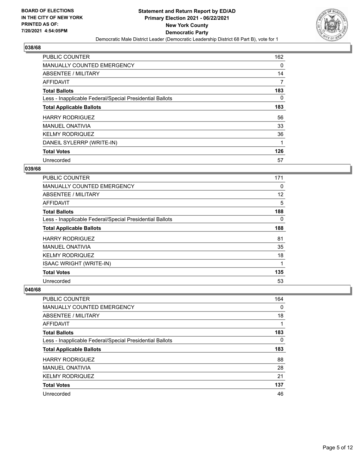

| PUBLIC COUNTER                                           | 162      |
|----------------------------------------------------------|----------|
| <b>MANUALLY COUNTED EMERGENCY</b>                        | 0        |
| ABSENTEE / MILITARY                                      | 14       |
| <b>AFFIDAVIT</b>                                         | 7        |
| <b>Total Ballots</b>                                     | 183      |
| Less - Inapplicable Federal/Special Presidential Ballots | $\Omega$ |
| <b>Total Applicable Ballots</b>                          | 183      |
| <b>HARRY RODRIGUEZ</b>                                   | 56       |
| <b>MANUEL ONATIVIA</b>                                   | 33       |
| <b>KELMY RODRIQUEZ</b>                                   | 36       |
| DANEIL SYLERRP (WRITE-IN)                                |          |
| <b>Total Votes</b>                                       | 126      |
| Unrecorded                                               | 57       |

#### **039/68**

| PUBLIC COUNTER                                           | 171 |
|----------------------------------------------------------|-----|
| <b>MANUALLY COUNTED EMERGENCY</b>                        | 0   |
| ABSENTEE / MILITARY                                      | 12  |
| AFFIDAVIT                                                | 5   |
| <b>Total Ballots</b>                                     | 188 |
| Less - Inapplicable Federal/Special Presidential Ballots | 0   |
| <b>Total Applicable Ballots</b>                          | 188 |
| <b>HARRY RODRIGUEZ</b>                                   | 81  |
| <b>MANUEL ONATIVIA</b>                                   | 35  |
| <b>KELMY RODRIQUEZ</b>                                   | 18  |
| <b>ISAAC WRIGHT (WRITE-IN)</b>                           | 1   |
| <b>Total Votes</b>                                       | 135 |
| Unrecorded                                               | 53  |

| PUBLIC COUNTER                                           | 164 |
|----------------------------------------------------------|-----|
| <b>MANUALLY COUNTED EMERGENCY</b>                        | 0   |
| ABSENTEE / MILITARY                                      | 18  |
| AFFIDAVIT                                                |     |
| <b>Total Ballots</b>                                     | 183 |
| Less - Inapplicable Federal/Special Presidential Ballots | 0   |
|                                                          | 183 |
| <b>Total Applicable Ballots</b>                          |     |
| <b>HARRY RODRIGUEZ</b>                                   | 88  |
| <b>MANUEL ONATIVIA</b>                                   | 28  |
| <b>KELMY RODRIQUEZ</b>                                   | 21  |
| <b>Total Votes</b>                                       | 137 |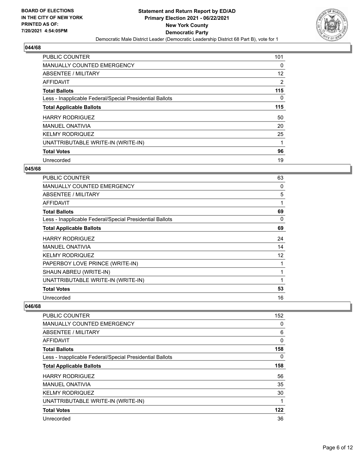

| <b>PUBLIC COUNTER</b>                                    | 101      |
|----------------------------------------------------------|----------|
| <b>MANUALLY COUNTED EMERGENCY</b>                        | $\Omega$ |
| ABSENTEE / MILITARY                                      | 12       |
| <b>AFFIDAVIT</b>                                         | 2        |
| <b>Total Ballots</b>                                     | 115      |
| Less - Inapplicable Federal/Special Presidential Ballots | $\Omega$ |
| <b>Total Applicable Ballots</b>                          | 115      |
| <b>HARRY RODRIGUEZ</b>                                   | 50       |
| <b>MANUEL ONATIVIA</b>                                   | 20       |
| <b>KELMY RODRIQUEZ</b>                                   | 25       |
| UNATTRIBUTABLE WRITE-IN (WRITE-IN)                       |          |
| <b>Total Votes</b>                                       | 96       |
| Unrecorded                                               | 19       |

#### **045/68**

| <b>PUBLIC COUNTER</b>                                    | 63 |
|----------------------------------------------------------|----|
| <b>MANUALLY COUNTED EMERGENCY</b>                        | 0  |
| ABSENTEE / MILITARY                                      | 5  |
| AFFIDAVIT                                                | 1  |
| <b>Total Ballots</b>                                     | 69 |
| Less - Inapplicable Federal/Special Presidential Ballots | 0  |
| <b>Total Applicable Ballots</b>                          | 69 |
| <b>HARRY RODRIGUEZ</b>                                   | 24 |
| <b>MANUEL ONATIVIA</b>                                   | 14 |
| <b>KELMY RODRIQUEZ</b>                                   | 12 |
| PAPERBOY LOVE PRINCE (WRITE-IN)                          | 1  |
| SHAUN ABREU (WRITE-IN)                                   | 1  |
| UNATTRIBUTABLE WRITE-IN (WRITE-IN)                       | 1  |
| <b>Total Votes</b>                                       | 53 |
| Unrecorded                                               | 16 |

| PUBLIC COUNTER                                           | 152      |
|----------------------------------------------------------|----------|
| <b>MANUALLY COUNTED EMERGENCY</b>                        | 0        |
| ABSENTEE / MILITARY                                      | 6        |
| AFFIDAVIT                                                | 0        |
| <b>Total Ballots</b>                                     | 158      |
| Less - Inapplicable Federal/Special Presidential Ballots | $\Omega$ |
| <b>Total Applicable Ballots</b>                          | 158      |
| <b>HARRY RODRIGUEZ</b>                                   | 56       |
| <b>MANUEL ONATIVIA</b>                                   | 35       |
| <b>KELMY RODRIQUEZ</b>                                   | 30       |
| UNATTRIBUTABLE WRITE-IN (WRITE-IN)                       |          |
| <b>Total Votes</b>                                       | 122      |
| Unrecorded                                               | 36       |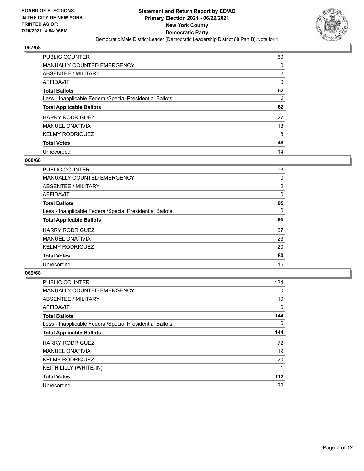

| <b>PUBLIC COUNTER</b>                                    | 60             |
|----------------------------------------------------------|----------------|
| MANUALLY COUNTED EMERGENCY                               | 0              |
| ABSENTEE / MILITARY                                      | $\overline{2}$ |
| AFFIDAVIT                                                | $\Omega$       |
| <b>Total Ballots</b>                                     | 62             |
| Less - Inapplicable Federal/Special Presidential Ballots | 0              |
| <b>Total Applicable Ballots</b>                          | 62             |
|                                                          |                |
| <b>HARRY RODRIGUEZ</b>                                   | 27             |
| <b>MANUEL ONATIVIA</b>                                   | 13             |
| <b>KELMY RODRIQUEZ</b>                                   | 8              |
| <b>Total Votes</b>                                       | 48             |

#### **068/68**

| <b>PUBLIC COUNTER</b>                                    | 93             |
|----------------------------------------------------------|----------------|
| MANUALLY COUNTED EMERGENCY                               | 0              |
| ABSENTEE / MILITARY                                      | $\overline{2}$ |
| AFFIDAVIT                                                | $\Omega$       |
| <b>Total Ballots</b>                                     | 95             |
| Less - Inapplicable Federal/Special Presidential Ballots | $\Omega$       |
| <b>Total Applicable Ballots</b>                          | 95             |
| <b>HARRY RODRIGUEZ</b>                                   | 37             |
| <b>MANUEL ONATIVIA</b>                                   | 23             |
| <b>KELMY RODRIQUEZ</b>                                   | 20             |
| <b>Total Votes</b>                                       | 80             |
| Unrecorded                                               | 15             |

| PUBLIC COUNTER                                           | 134      |
|----------------------------------------------------------|----------|
| <b>MANUALLY COUNTED EMERGENCY</b>                        | 0        |
| ABSENTEE / MILITARY                                      | 10       |
| AFFIDAVIT                                                | 0        |
| <b>Total Ballots</b>                                     | 144      |
| Less - Inapplicable Federal/Special Presidential Ballots | $\Omega$ |
| <b>Total Applicable Ballots</b>                          | 144      |
| <b>HARRY RODRIGUEZ</b>                                   | 72       |
| <b>MANUEL ONATIVIA</b>                                   | 19       |
| <b>KELMY RODRIQUEZ</b>                                   | 20       |
| KEITH LILLY (WRITE-IN)                                   |          |
| <b>Total Votes</b>                                       | $112$    |
| Unrecorded                                               | 32       |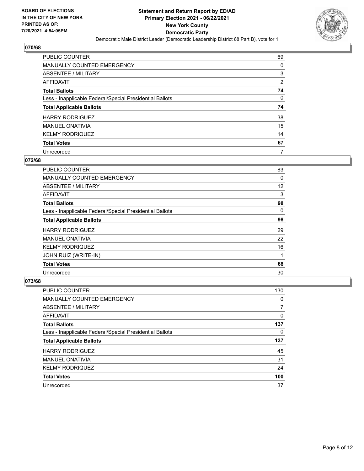

| <b>PUBLIC COUNTER</b>                                    | 69             |
|----------------------------------------------------------|----------------|
| <b>MANUALLY COUNTED EMERGENCY</b>                        | 0              |
| <b>ABSENTEE / MILITARY</b>                               | 3              |
| AFFIDAVIT                                                | $\overline{2}$ |
| <b>Total Ballots</b>                                     | 74             |
| Less - Inapplicable Federal/Special Presidential Ballots | $\Omega$       |
| <b>Total Applicable Ballots</b>                          | 74             |
| <b>HARRY RODRIGUEZ</b>                                   | 38             |
| <b>MANUEL ONATIVIA</b>                                   | 15             |
| <b>KELMY RODRIQUEZ</b>                                   | 14             |
| <b>Total Votes</b>                                       | 67             |
|                                                          |                |

#### **072/68**

| PUBLIC COUNTER                                           | 83       |
|----------------------------------------------------------|----------|
| <b>MANUALLY COUNTED EMERGENCY</b>                        | 0        |
| ABSENTEE / MILITARY                                      | 12       |
| <b>AFFIDAVIT</b>                                         | 3        |
| <b>Total Ballots</b>                                     | 98       |
| Less - Inapplicable Federal/Special Presidential Ballots | $\Omega$ |
| <b>Total Applicable Ballots</b>                          | 98       |
| <b>HARRY RODRIGUEZ</b>                                   | 29       |
| <b>MANUEL ONATIVIA</b>                                   | 22       |
| <b>KELMY RODRIQUEZ</b>                                   | 16       |
| JOHN RUIZ (WRITE-IN)                                     | 1        |
| <b>Total Votes</b>                                       | 68       |
| Unrecorded                                               | 30       |

| <b>PUBLIC COUNTER</b>                                    | 130 |
|----------------------------------------------------------|-----|
| <b>MANUALLY COUNTED EMERGENCY</b>                        | 0   |
| ABSENTEE / MILITARY                                      | 7   |
| AFFIDAVIT                                                | 0   |
| <b>Total Ballots</b>                                     | 137 |
| Less - Inapplicable Federal/Special Presidential Ballots | 0   |
|                                                          |     |
| <b>Total Applicable Ballots</b>                          | 137 |
| <b>HARRY RODRIGUEZ</b>                                   | 45  |
| <b>MANUEL ONATIVIA</b>                                   | 31  |
| <b>KELMY RODRIQUEZ</b>                                   | 24  |
| <b>Total Votes</b>                                       | 100 |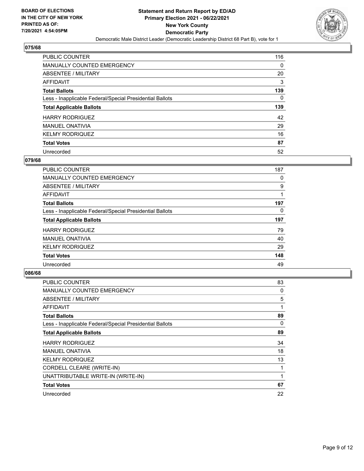

| <b>PUBLIC COUNTER</b>                                    | 116 |
|----------------------------------------------------------|-----|
| <b>MANUALLY COUNTED EMERGENCY</b>                        | 0   |
| ABSENTEE / MILITARY                                      | 20  |
| AFFIDAVIT                                                | 3   |
| <b>Total Ballots</b>                                     | 139 |
| Less - Inapplicable Federal/Special Presidential Ballots | 0   |
|                                                          |     |
| <b>Total Applicable Ballots</b>                          | 139 |
| <b>HARRY RODRIGUEZ</b>                                   | 42  |
| <b>MANUEL ONATIVIA</b>                                   | 29  |
| <b>KELMY RODRIQUEZ</b>                                   | 16  |
| <b>Total Votes</b>                                       | 87  |

#### **079/68**

| PUBLIC COUNTER                                           | 187 |
|----------------------------------------------------------|-----|
| <b>MANUALLY COUNTED EMERGENCY</b>                        | 0   |
| ABSENTEE / MILITARY                                      | 9   |
| <b>AFFIDAVIT</b>                                         |     |
| <b>Total Ballots</b>                                     | 197 |
| Less - Inapplicable Federal/Special Presidential Ballots | 0   |
| <b>Total Applicable Ballots</b>                          | 197 |
| <b>HARRY RODRIGUEZ</b>                                   | 79  |
| <b>MANUEL ONATIVIA</b>                                   | 40  |
| <b>KELMY RODRIQUEZ</b>                                   | 29  |
| <b>Total Votes</b>                                       | 148 |
| Unrecorded                                               | 49  |

| PUBLIC COUNTER                                           | 83 |
|----------------------------------------------------------|----|
| <b>MANUALLY COUNTED EMERGENCY</b>                        | 0  |
| ABSENTEE / MILITARY                                      | 5  |
| AFFIDAVIT                                                | 1  |
| <b>Total Ballots</b>                                     | 89 |
| Less - Inapplicable Federal/Special Presidential Ballots | 0  |
| <b>Total Applicable Ballots</b>                          | 89 |
| <b>HARRY RODRIGUEZ</b>                                   | 34 |
| <b>MANUEL ONATIVIA</b>                                   | 18 |
| <b>KELMY RODRIQUEZ</b>                                   | 13 |
| CORDELL CLEARE (WRITE-IN)                                | 1  |
| UNATTRIBUTABLE WRITE-IN (WRITE-IN)                       | 1  |
| <b>Total Votes</b>                                       | 67 |
| Unrecorded                                               | 22 |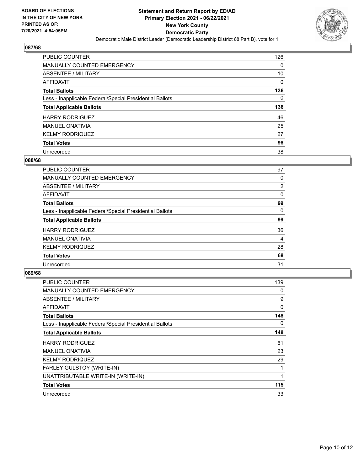

| <b>PUBLIC COUNTER</b>                                    | 126 |
|----------------------------------------------------------|-----|
| <b>MANUALLY COUNTED EMERGENCY</b>                        | 0   |
| <b>ABSENTEE / MILITARY</b>                               | 10  |
| AFFIDAVIT                                                | 0   |
| <b>Total Ballots</b>                                     | 136 |
| Less - Inapplicable Federal/Special Presidential Ballots | 0   |
| <b>Total Applicable Ballots</b>                          | 136 |
|                                                          |     |
| <b>HARRY RODRIGUEZ</b>                                   | 46  |
| <b>MANUEL ONATIVIA</b>                                   | 25  |
| <b>KELMY RODRIQUEZ</b>                                   | 27  |
| <b>Total Votes</b>                                       | 98  |

#### **088/68**

| <b>PUBLIC COUNTER</b>                                    | 97             |
|----------------------------------------------------------|----------------|
| <b>MANUALLY COUNTED EMERGENCY</b>                        | 0              |
| ABSENTEE / MILITARY                                      | $\overline{2}$ |
| AFFIDAVIT                                                | 0              |
| <b>Total Ballots</b>                                     | 99             |
| Less - Inapplicable Federal/Special Presidential Ballots | $\Omega$       |
| <b>Total Applicable Ballots</b>                          | 99             |
| <b>HARRY RODRIGUEZ</b>                                   | 36             |
| <b>MANUEL ONATIVIA</b>                                   | 4              |
| <b>KELMY RODRIQUEZ</b>                                   | 28             |
| <b>Total Votes</b>                                       | 68             |
| Unrecorded                                               | 31             |

| PUBLIC COUNTER                                           | 139 |
|----------------------------------------------------------|-----|
| <b>MANUALLY COUNTED EMERGENCY</b>                        | 0   |
| ABSENTEE / MILITARY                                      | 9   |
| AFFIDAVIT                                                | 0   |
| <b>Total Ballots</b>                                     | 148 |
| Less - Inapplicable Federal/Special Presidential Ballots | 0   |
| <b>Total Applicable Ballots</b>                          | 148 |
| <b>HARRY RODRIGUEZ</b>                                   | 61  |
| <b>MANUEL ONATIVIA</b>                                   | 23  |
| <b>KELMY RODRIQUEZ</b>                                   | 29  |
| FARLEY GULSTOY (WRITE-IN)                                | 1   |
| UNATTRIBUTABLE WRITE-IN (WRITE-IN)                       | 1   |
| <b>Total Votes</b>                                       | 115 |
| Unrecorded                                               | 33  |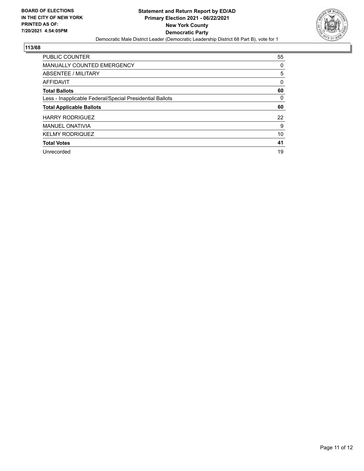

| PUBLIC COUNTER                                           | 55 |
|----------------------------------------------------------|----|
| <b>MANUALLY COUNTED EMERGENCY</b>                        | 0  |
| ABSENTEE / MILITARY                                      | 5  |
| AFFIDAVIT                                                | 0  |
| <b>Total Ballots</b>                                     | 60 |
| Less - Inapplicable Federal/Special Presidential Ballots | 0  |
| <b>Total Applicable Ballots</b>                          | 60 |
| <b>HARRY RODRIGUEZ</b>                                   | 22 |
| <b>MANUEL ONATIVIA</b>                                   | 9  |
| <b>KELMY RODRIQUEZ</b>                                   | 10 |
| <b>Total Votes</b>                                       | 41 |
|                                                          |    |